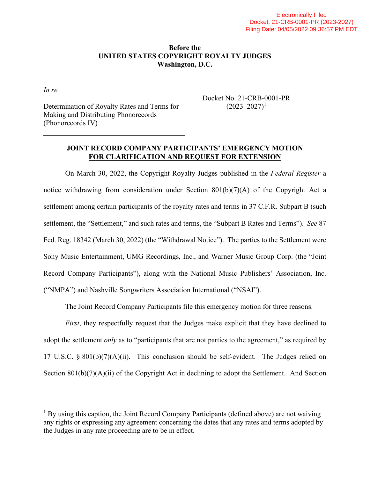#### **Before the UNITED STATES COPYRIGHT ROYALTY JUDGES Washington, D.C.**

*In re*

Determination of Royalty Rates and Terms for Making and Distributing Phonorecords (Phonorecords IV)

Docket No. 21-CRB-0001-PR  $(2023 - 2027)^1$  $(2023 - 2027)^1$ 

### **JOINT RECORD COMPANY PARTICIPANTS' EMERGENCY MOTION FOR CLARIFICATION AND REQUEST FOR EXTENSION**

On March 30, 2022, the Copyright Royalty Judges published in the *Federal Register* a notice withdrawing from consideration under Section 801(b)(7)(A) of the Copyright Act a settlement among certain participants of the royalty rates and terms in 37 C.F.R. Subpart B (such settlement, the "Settlement," and such rates and terms, the "Subpart B Rates and Terms"). *See* 87 Fed. Reg. 18342 (March 30, 2022) (the "Withdrawal Notice"). The parties to the Settlement were Sony Music Entertainment, UMG Recordings, Inc., and Warner Music Group Corp. (the "Joint Record Company Participants"), along with the National Music Publishers' Association, Inc. ("NMPA") and Nashville Songwriters Association International ("NSAI").

The Joint Record Company Participants file this emergency motion for three reasons.

*First*, they respectfully request that the Judges make explicit that they have declined to adopt the settlement *only* as to "participants that are not parties to the agreement," as required by 17 U.S.C.  $\S 801(b)(7)(A)(ii)$ . This conclusion should be self-evident. The Judges relied on Section 801(b)(7)(A)(ii) of the Copyright Act in declining to adopt the Settlement. And Section

<span id="page-0-0"></span><sup>&</sup>lt;sup>1</sup> By using this caption, the Joint Record Company Participants (defined above) are not waiving any rights or expressing any agreement concerning the dates that any rates and terms adopted by the Judges in any rate proceeding are to be in effect.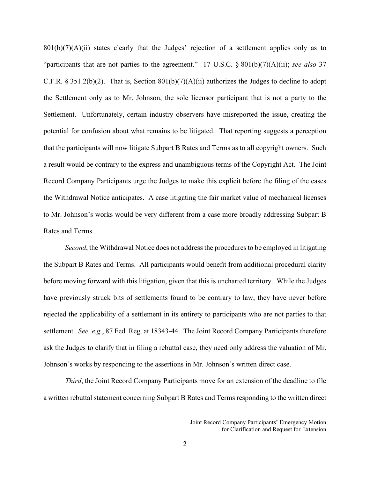$801(b)(7)(A)(ii)$  states clearly that the Judges' rejection of a settlement applies only as to "participants that are not parties to the agreement." 17 U.S.C. § 801(b)(7)(A)(ii); *see also* 37 C.F.R. § 351.2(b)(2). That is, Section  $801(b)(7)(A)(ii)$  authorizes the Judges to decline to adopt the Settlement only as to Mr. Johnson, the sole licensor participant that is not a party to the Settlement. Unfortunately, certain industry observers have misreported the issue, creating the potential for confusion about what remains to be litigated. That reporting suggests a perception that the participants will now litigate Subpart B Rates and Terms as to all copyright owners. Such a result would be contrary to the express and unambiguous terms of the Copyright Act. The Joint Record Company Participants urge the Judges to make this explicit before the filing of the cases the Withdrawal Notice anticipates. A case litigating the fair market value of mechanical licenses to Mr. Johnson's works would be very different from a case more broadly addressing Subpart B Rates and Terms.

*Second*, the Withdrawal Notice does not address the procedures to be employed in litigating the Subpart B Rates and Terms. All participants would benefit from additional procedural clarity before moving forward with this litigation, given that this is uncharted territory. While the Judges have previously struck bits of settlements found to be contrary to law, they have never before rejected the applicability of a settlement in its entirety to participants who are not parties to that settlement. *See, e.g*., 87 Fed. Reg. at 18343-44. The Joint Record Company Participants therefore ask the Judges to clarify that in filing a rebuttal case, they need only address the valuation of Mr. Johnson's works by responding to the assertions in Mr. Johnson's written direct case.

*Third*, the Joint Record Company Participants move for an extension of the deadline to file a written rebuttal statement concerning Subpart B Rates and Terms responding to the written direct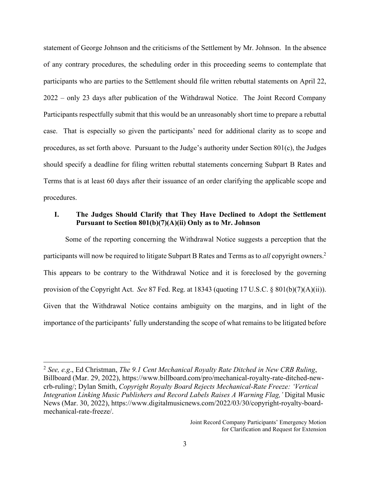statement of George Johnson and the criticisms of the Settlement by Mr. Johnson. In the absence of any contrary procedures, the scheduling order in this proceeding seems to contemplate that participants who are parties to the Settlement should file written rebuttal statements on April 22, 2022 – only 23 days after publication of the Withdrawal Notice. The Joint Record Company Participants respectfully submit that this would be an unreasonably short time to prepare a rebuttal case. That is especially so given the participants' need for additional clarity as to scope and procedures, as set forth above. Pursuant to the Judge's authority under Section  $801(c)$ , the Judges should specify a deadline for filing written rebuttal statements concerning Subpart B Rates and Terms that is at least 60 days after their issuance of an order clarifying the applicable scope and procedures.

### **I. The Judges Should Clarify that They Have Declined to Adopt the Settlement Pursuant to Section 801(b)(7)(A)(ii) Only as to Mr. Johnson**

Some of the reporting concerning the Withdrawal Notice suggests a perception that the participants will now be required to litigate Subpart B Rates and Terms as to *all* copyright owners.<sup>[2](#page-2-0)</sup> This appears to be contrary to the Withdrawal Notice and it is foreclosed by the governing provision of the Copyright Act. *See* 87 Fed. Reg. at 18343 (quoting 17 U.S.C. § 801(b)(7)(A)(ii)). Given that the Withdrawal Notice contains ambiguity on the margins, and in light of the importance of the participants' fully understanding the scope of what remains to be litigated before

<span id="page-2-0"></span><sup>2</sup> *See, e.g*., Ed Christman, *The 9.1 Cent Mechanical Royalty Rate Ditched in New CRB Ruling*, Billboard (Mar. 29, 2022), https://www.billboard.com/pro/mechanical-royalty-rate-ditched-newcrb-ruling/; Dylan Smith, *Copyright Royalty Board Rejects Mechanical-Rate Freeze: 'Vertical Integration Linking Music Publishers and Record Labels Raises A Warning Flag,'* Digital Music News (Mar. 30, 2022), https://www.digitalmusicnews.com/2022/03/30/copyright-royalty-boardmechanical-rate-freeze/.

Joint Record Company Participants' Emergency Motion for Clarification and Request for Extension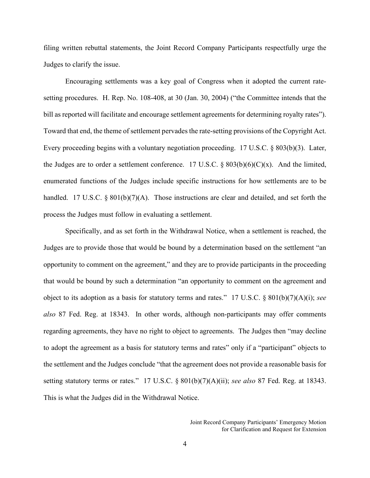filing written rebuttal statements, the Joint Record Company Participants respectfully urge the Judges to clarify the issue.

Encouraging settlements was a key goal of Congress when it adopted the current ratesetting procedures. H. Rep. No. 108-408, at 30 (Jan. 30, 2004) ("the Committee intends that the bill as reported will facilitate and encourage settlement agreements for determining royalty rates"). Toward that end, the theme of settlement pervades the rate-setting provisions of the Copyright Act. Every proceeding begins with a voluntary negotiation proceeding. 17 U.S.C. § 803(b)(3). Later, the Judges are to order a settlement conference. 17 U.S.C.  $\S 803(b)(6)(C)(x)$ . And the limited, enumerated functions of the Judges include specific instructions for how settlements are to be handled. 17 U.S.C. § 801(b)(7)(A). Those instructions are clear and detailed, and set forth the process the Judges must follow in evaluating a settlement.

Specifically, and as set forth in the Withdrawal Notice, when a settlement is reached, the Judges are to provide those that would be bound by a determination based on the settlement "an opportunity to comment on the agreement," and they are to provide participants in the proceeding that would be bound by such a determination "an opportunity to comment on the agreement and object to its adoption as a basis for statutory terms and rates." 17 U.S.C. § 801(b)(7)(A)(i); *see also* 87 Fed. Reg. at 18343. In other words, although non-participants may offer comments regarding agreements, they have no right to object to agreements. The Judges then "may decline to adopt the agreement as a basis for statutory terms and rates" only if a "participant" objects to the settlement and the Judges conclude "that the agreement does not provide a reasonable basis for setting statutory terms or rates." 17 U.S.C. § 801(b)(7)(A)(ii); *see also* 87 Fed. Reg. at 18343. This is what the Judges did in the Withdrawal Notice.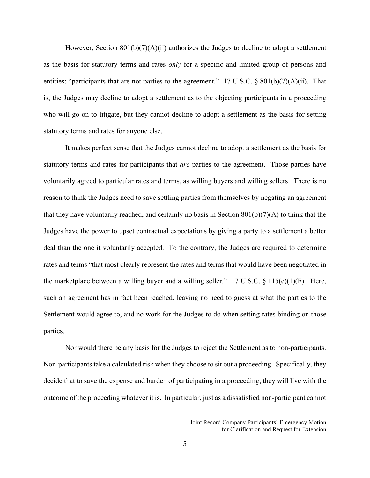However, Section  $801(b)(7)(A)(ii)$  authorizes the Judges to decline to adopt a settlement as the basis for statutory terms and rates *only* for a specific and limited group of persons and entities: "participants that are not parties to the agreement." 17 U.S.C. § 801(b)(7)(A)(ii). That is, the Judges may decline to adopt a settlement as to the objecting participants in a proceeding who will go on to litigate, but they cannot decline to adopt a settlement as the basis for setting statutory terms and rates for anyone else.

It makes perfect sense that the Judges cannot decline to adopt a settlement as the basis for statutory terms and rates for participants that *are* parties to the agreement. Those parties have voluntarily agreed to particular rates and terms, as willing buyers and willing sellers. There is no reason to think the Judges need to save settling parties from themselves by negating an agreement that they have voluntarily reached, and certainly no basis in Section  $801(b)(7)(A)$  to think that the Judges have the power to upset contractual expectations by giving a party to a settlement a better deal than the one it voluntarily accepted. To the contrary, the Judges are required to determine rates and terms "that most clearly represent the rates and terms that would have been negotiated in the marketplace between a willing buyer and a willing seller." 17 U.S.C.  $\S 115(c)(1)(F)$ . Here, such an agreement has in fact been reached, leaving no need to guess at what the parties to the Settlement would agree to, and no work for the Judges to do when setting rates binding on those parties.

Nor would there be any basis for the Judges to reject the Settlement as to non-participants. Non-participants take a calculated risk when they choose to sit out a proceeding. Specifically, they decide that to save the expense and burden of participating in a proceeding, they will live with the outcome of the proceeding whatever it is. In particular, just as a dissatisfied non-participant cannot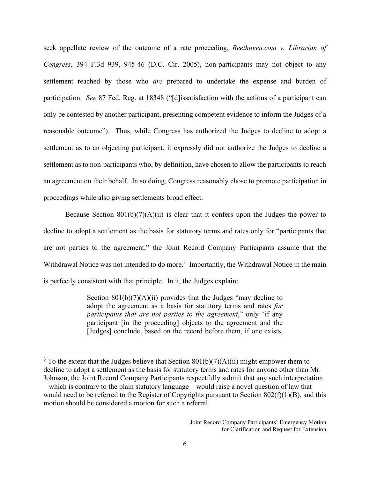seek appellate review of the outcome of a rate proceeding, *Beethoven.com v. Librarian of Congress*, 394 F.3d 939, 945-46 (D.C. Cir. 2005), non-participants may not object to any settlement reached by those who *are* prepared to undertake the expense and burden of participation. *See* 87 Fed. Reg. at 18348 ("[d]issatisfaction with the actions of a participant can only be contested by another participant, presenting competent evidence to inform the Judges of a reasonable outcome"). Thus, while Congress has authorized the Judges to decline to adopt a settlement as to an objecting participant, it expressly did not authorize the Judges to decline a settlement as to non-participants who, by definition, have chosen to allow the participants to reach an agreement on their behalf. In so doing, Congress reasonably chose to promote participation in proceedings while also giving settlements broad effect.

Because Section  $801(b)(7)(A)(ii)$  is clear that it confers upon the Judges the power to decline to adopt a settlement as the basis for statutory terms and rates only for "participants that are not parties to the agreement," the Joint Record Company Participants assume that the Withdrawal Notice was not intended to do more[.](#page-5-0)<sup>3</sup> Importantly, the Withdrawal Notice in the main is perfectly consistent with that principle. In it, the Judges explain:

> Section  $801(b)(7)(A)(ii)$  provides that the Judges "may decline to adopt the agreement as a basis for statutory terms and rates *for participants that are not parties to the agreement*," only "if any participant [in the proceeding] objects to the agreement and the [Judges] conclude, based on the record before them, if one exists,

<span id="page-5-0"></span><sup>&</sup>lt;sup>3</sup> To the extent that the Judges believe that Section  $801(b)(7)(A)(ii)$  might empower them to decline to adopt a settlement as the basis for statutory terms and rates for anyone other than Mr. Johnson, the Joint Record Company Participants respectfully submit that any such interpretation – which is contrary to the plain statutory language – would raise a novel question of law that would need to be referred to the Register of Copyrights pursuant to Section 802(f)(1)(B), and this motion should be considered a motion for such a referral.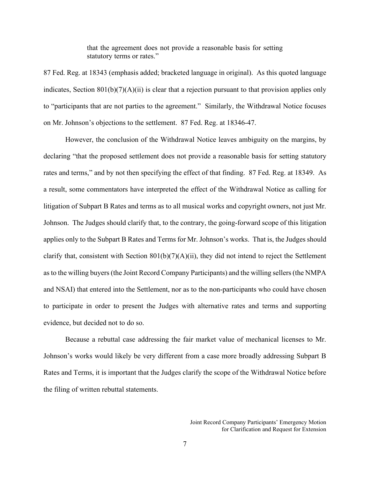that the agreement does not provide a reasonable basis for setting statutory terms or rates."

87 Fed. Reg. at 18343 (emphasis added; bracketed language in original). As this quoted language indicates, Section 801(b)(7)(A)(ii) is clear that a rejection pursuant to that provision applies only to "participants that are not parties to the agreement." Similarly, the Withdrawal Notice focuses on Mr. Johnson's objections to the settlement. 87 Fed. Reg. at 18346-47.

However, the conclusion of the Withdrawal Notice leaves ambiguity on the margins, by declaring "that the proposed settlement does not provide a reasonable basis for setting statutory rates and terms," and by not then specifying the effect of that finding. 87 Fed. Reg. at 18349. As a result, some commentators have interpreted the effect of the Withdrawal Notice as calling for litigation of Subpart B Rates and terms as to all musical works and copyright owners, not just Mr. Johnson. The Judges should clarify that, to the contrary, the going-forward scope of this litigation applies only to the Subpart B Rates and Terms for Mr. Johnson's works. That is, the Judges should clarify that, consistent with Section 801(b)(7)(A)(ii), they did not intend to reject the Settlement as to the willing buyers (the Joint Record Company Participants) and the willing sellers (the NMPA and NSAI) that entered into the Settlement, nor as to the non-participants who could have chosen to participate in order to present the Judges with alternative rates and terms and supporting evidence, but decided not to do so.

Because a rebuttal case addressing the fair market value of mechanical licenses to Mr. Johnson's works would likely be very different from a case more broadly addressing Subpart B Rates and Terms, it is important that the Judges clarify the scope of the Withdrawal Notice before the filing of written rebuttal statements.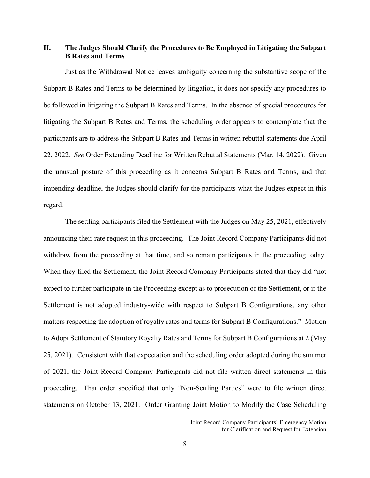## **II. The Judges Should Clarify the Procedures to Be Employed in Litigating the Subpart B Rates and Terms**

Just as the Withdrawal Notice leaves ambiguity concerning the substantive scope of the Subpart B Rates and Terms to be determined by litigation, it does not specify any procedures to be followed in litigating the Subpart B Rates and Terms. In the absence of special procedures for litigating the Subpart B Rates and Terms, the scheduling order appears to contemplate that the participants are to address the Subpart B Rates and Terms in written rebuttal statements due April 22, 2022. *See* Order Extending Deadline for Written Rebuttal Statements (Mar. 14, 2022). Given the unusual posture of this proceeding as it concerns Subpart B Rates and Terms, and that impending deadline, the Judges should clarify for the participants what the Judges expect in this regard.

The settling participants filed the Settlement with the Judges on May 25, 2021, effectively announcing their rate request in this proceeding. The Joint Record Company Participants did not withdraw from the proceeding at that time, and so remain participants in the proceeding today. When they filed the Settlement, the Joint Record Company Participants stated that they did "not expect to further participate in the Proceeding except as to prosecution of the Settlement, or if the Settlement is not adopted industry-wide with respect to Subpart B Configurations, any other matters respecting the adoption of royalty rates and terms for Subpart B Configurations." Motion to Adopt Settlement of Statutory Royalty Rates and Terms for Subpart B Configurations at 2 (May 25, 2021). Consistent with that expectation and the scheduling order adopted during the summer of 2021, the Joint Record Company Participants did not file written direct statements in this proceeding. That order specified that only "Non-Settling Parties" were to file written direct statements on October 13, 2021. Order Granting Joint Motion to Modify the Case Scheduling

Joint Record Company Participants' Emergency Motion for Clarification and Request for Extension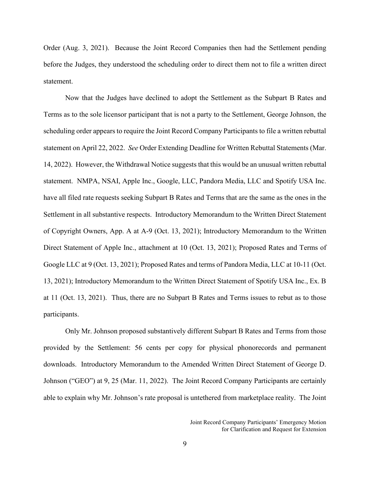Order (Aug. 3, 2021). Because the Joint Record Companies then had the Settlement pending before the Judges, they understood the scheduling order to direct them not to file a written direct statement.

Now that the Judges have declined to adopt the Settlement as the Subpart B Rates and Terms as to the sole licensor participant that is not a party to the Settlement, George Johnson, the scheduling order appears to require the Joint Record Company Participants to file a written rebuttal statement on April 22, 2022. *See* Order Extending Deadline for Written Rebuttal Statements (Mar. 14, 2022). However, the Withdrawal Notice suggests that this would be an unusual written rebuttal statement. NMPA, NSAI, Apple Inc., Google, LLC, Pandora Media, LLC and Spotify USA Inc. have all filed rate requests seeking Subpart B Rates and Terms that are the same as the ones in the Settlement in all substantive respects. Introductory Memorandum to the Written Direct Statement of Copyright Owners, App. A at A-9 (Oct. 13, 2021); Introductory Memorandum to the Written Direct Statement of Apple Inc., attachment at 10 (Oct. 13, 2021); Proposed Rates and Terms of Google LLC at 9 (Oct. 13, 2021); Proposed Rates and terms of Pandora Media, LLC at 10-11 (Oct. 13, 2021); Introductory Memorandum to the Written Direct Statement of Spotify USA Inc., Ex. B at 11 (Oct. 13, 2021). Thus, there are no Subpart B Rates and Terms issues to rebut as to those participants.

Only Mr. Johnson proposed substantively different Subpart B Rates and Terms from those provided by the Settlement: 56 cents per copy for physical phonorecords and permanent downloads. Introductory Memorandum to the Amended Written Direct Statement of George D. Johnson ("GEO") at 9, 25 (Mar. 11, 2022). The Joint Record Company Participants are certainly able to explain why Mr. Johnson's rate proposal is untethered from marketplace reality. The Joint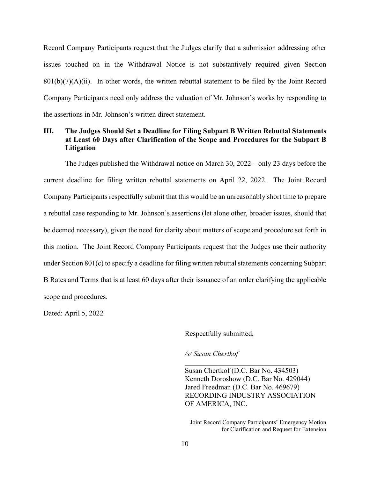Record Company Participants request that the Judges clarify that a submission addressing other issues touched on in the Withdrawal Notice is not substantively required given Section  $801(b)(7)(A)(ii)$ . In other words, the written rebuttal statement to be filed by the Joint Record Company Participants need only address the valuation of Mr. Johnson's works by responding to the assertions in Mr. Johnson's written direct statement.

## **III. The Judges Should Set a Deadline for Filing Subpart B Written Rebuttal Statements at Least 60 Days after Clarification of the Scope and Procedures for the Subpart B Litigation**

The Judges published the Withdrawal notice on March 30, 2022 – only 23 days before the current deadline for filing written rebuttal statements on April 22, 2022. The Joint Record Company Participants respectfully submit that this would be an unreasonably short time to prepare a rebuttal case responding to Mr. Johnson's assertions (let alone other, broader issues, should that be deemed necessary), given the need for clarity about matters of scope and procedure set forth in this motion. The Joint Record Company Participants request that the Judges use their authority under Section 801(c) to specify a deadline for filing written rebuttal statements concerning Subpart B Rates and Terms that is at least 60 days after their issuance of an order clarifying the applicable scope and procedures.

Dated: April 5, 2022

Respectfully submitted,

*/s/ Susan Chertkof* 

Susan Chertkof (D.C. Bar No. 434503) Kenneth Doroshow (D.C. Bar No. 429044) Jared Freedman (D.C. Bar No. 469679) RECORDING INDUSTRY ASSOCIATION OF AMERICA, INC.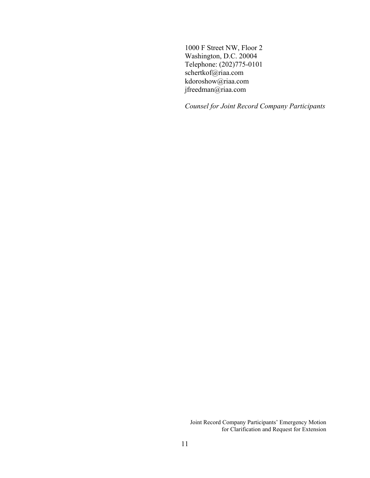1000 F Street NW, Floor 2 Washington, D.C. 20004 Telephone: (202)775-0101 schertkof@riaa.com kdoroshow@riaa.com jfreedman@riaa.com

*Counsel for Joint Record Company Participants*